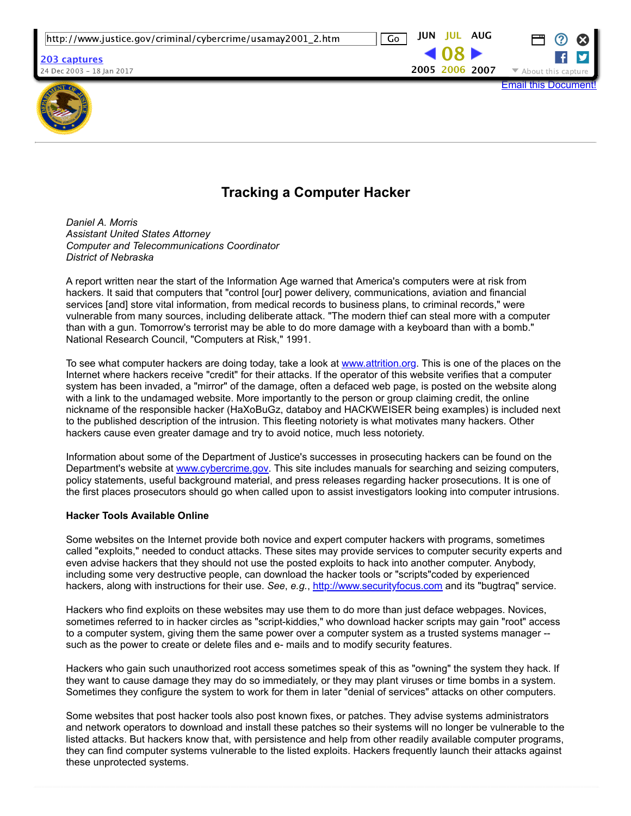

 $E$ mail this Docum $\,$ 



# **Tracking a Computer Hacker**

*Daniel A. Morris Assistant United States Attorney Computer and Telecommunications Coordinator District of Nebraska*

A report written near the start of the Information Age warned that America's computers were at risk from hackers. It said that computers that "control [our] power delivery, communications, aviation and financial services [and] store vital information, from medical records to business plans, to criminal records," were vulnerable from many sources, including deliberate attack. "The modern thief can steal more with a computer than with a gun. Tomorrow's terrorist may be able to do more damage with a keyboard than with a bomb." National Research Council, "Computers at Risk," 1991.

To see what computer hackers are doing today, take a look at [www.attrition.org.](https://web.archive.org/web/20060708160904/http://www.cybercrime.gov/cgi-bin/outside.cgi?http://attrition.org) This is one of the places on the Internet where hackers receive "credit" for their attacks. If the operator of this website verifies that a computer system has been invaded, a "mirror" of the damage, often a defaced web page, is posted on the website along with a link to the undamaged website. More importantly to the person or group claiming credit, the online nickname of the responsible hacker (HaXoBuGz, databoy and HACKWEISER being examples) is included next to the published description of the intrusion. This fleeting notoriety is what motivates many hackers. Other hackers cause even greater damage and try to avoid notice, much less notoriety.

Information about some of the Department of Justice's successes in prosecuting hackers can be found on the Department's website at [www.cybercrime.gov.](https://web.archive.org/web/20060708160904/http://www.cybercrime.gov/) This site includes manuals for searching and seizing computers, policy statements, useful background material, and press releases regarding hacker prosecutions. It is one of the first places prosecutors should go when called upon to assist investigators looking into computer intrusions.

# **Hacker Tools Available Online**

Some websites on the Internet provide both novice and expert computer hackers with programs, sometimes called "exploits," needed to conduct attacks. These sites may provide services to computer security experts and even advise hackers that they should not use the posted exploits to hack into another computer. Anybody, including some very destructive people, can download the hacker tools or "scripts"coded by experienced hackers, along with instructions for their use. *See*, *e.g.*, [http://www.securityfocus.com](https://web.archive.org/web/20060708160904/http://www.cybercrime.gov/cgi-bin/outside.cgi?http://www.securityfocus.com) and its "bugtraq" service.

Hackers who find exploits on these websites may use them to do more than just deface webpages. Novices, sometimes referred to in hacker circles as "script-kiddies," who download hacker scripts may gain "root" access to a computer system, giving them the same power over a computer system as a trusted systems manager -such as the power to create or delete files and e- mails and to modify security features.

Hackers who gain such unauthorized root access sometimes speak of this as "owning" the system they hack. If they want to cause damage they may do so immediately, or they may plant viruses or time bombs in a system. Sometimes they configure the system to work for them in later "denial of services" attacks on other computers.

Some websites that post hacker tools also post known fixes, or patches. They advise systems administrators and network operators to download and install these patches so their systems will no longer be vulnerable to the listed attacks. But hackers know that, with persistence and help from other readily available computer programs, they can find computer systems vulnerable to the listed exploits. Hackers frequently launch their attacks against these unprotected systems.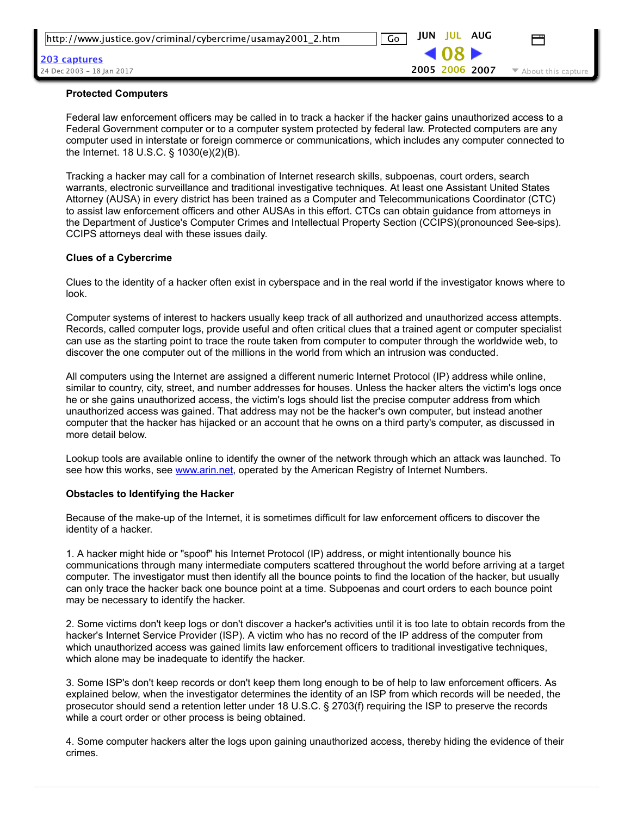| http://www.justice.gov/criminal/cybercrime/usamay2001_2.htm | JUN<br>JUL AUG<br>Go  |                                          |
|-------------------------------------------------------------|-----------------------|------------------------------------------|
| 203 captures                                                | $-08$                 |                                          |
| 24 Dec 2003 – 18 Ian 2017                                   | <b>2005 2006 2007</b> | $\blacktriangleright$ About this capture |
|                                                             |                       |                                          |

#### **Protected Computers**

Federal law enforcement officers may be called in to track a hacker if the hacker gains unauthorized access to a Federal Government computer or to a computer system protected by federal law. Protected computers are any computer used in interstate or foreign commerce or communications, which includes any computer connected to the Internet. 18 U.S.C. § 1030(e)(2)(B).

Tracking a hacker may call for a combination of Internet research skills, subpoenas, court orders, search warrants, electronic surveillance and traditional investigative techniques. At least one Assistant United States Attorney (AUSA) in every district has been trained as a Computer and Telecommunications Coordinator (CTC) to assist law enforcement officers and other AUSAs in this effort. CTCs can obtain guidance from attorneys in the Department of Justice's Computer Crimes and Intellectual Property Section (CCIPS)(pronounced See-sips). CCIPS attorneys deal with these issues daily.

#### **Clues of a Cybercrime**

Clues to the identity of a hacker often exist in cyberspace and in the real world if the investigator knows where to look.

Computer systems of interest to hackers usually keep track of all authorized and unauthorized access attempts. Records, called computer logs, provide useful and often critical clues that a trained agent or computer specialist can use as the starting point to trace the route taken from computer to computer through the worldwide web, to discover the one computer out of the millions in the world from which an intrusion was conducted.

All computers using the Internet are assigned a different numeric Internet Protocol (IP) address while online, similar to country, city, street, and number addresses for houses. Unless the hacker alters the victim's logs once he or she gains unauthorized access, the victim's logs should list the precise computer address from which unauthorized access was gained. That address may not be the hacker's own computer, but instead another computer that the hacker has hijacked or an account that he owns on a third party's computer, as discussed in more detail below.

Lookup tools are available online to identify the owner of the network through which an attack was launched. To see how this works, see [www.arin.net](https://web.archive.org/web/20060708160904/http://www.cybercrime.gov/cgi-bin/outside.cgi?http://www.arin.net), operated by the American Registry of Internet Numbers.

#### **Obstacles to Identifying the Hacker**

Because of the make-up of the Internet, it is sometimes difficult for law enforcement officers to discover the identity of a hacker.

1. A hacker might hide or "spoof" his Internet Protocol (IP) address, or might intentionally bounce his communications through many intermediate computers scattered throughout the world before arriving at a target computer. The investigator must then identify all the bounce points to find the location of the hacker, but usually can only trace the hacker back one bounce point at a time. Subpoenas and court orders to each bounce point may be necessary to identify the hacker.

2. Some victims don't keep logs or don't discover a hacker's activities until it is too late to obtain records from the hacker's Internet Service Provider (ISP). A victim who has no record of the IP address of the computer from which unauthorized access was gained limits law enforcement officers to traditional investigative techniques, which alone may be inadequate to identify the hacker.

3. Some ISP's don't keep records or don't keep them long enough to be of help to law enforcement officers. As explained below, when the investigator determines the identity of an ISP from which records will be needed, the prosecutor should send a retention letter under 18 U.S.C. § 2703(f) requiring the ISP to preserve the records while a court order or other process is being obtained.

4. Some computer hackers alter the logs upon gaining unauthorized access, thereby hiding the evidence of their crimes.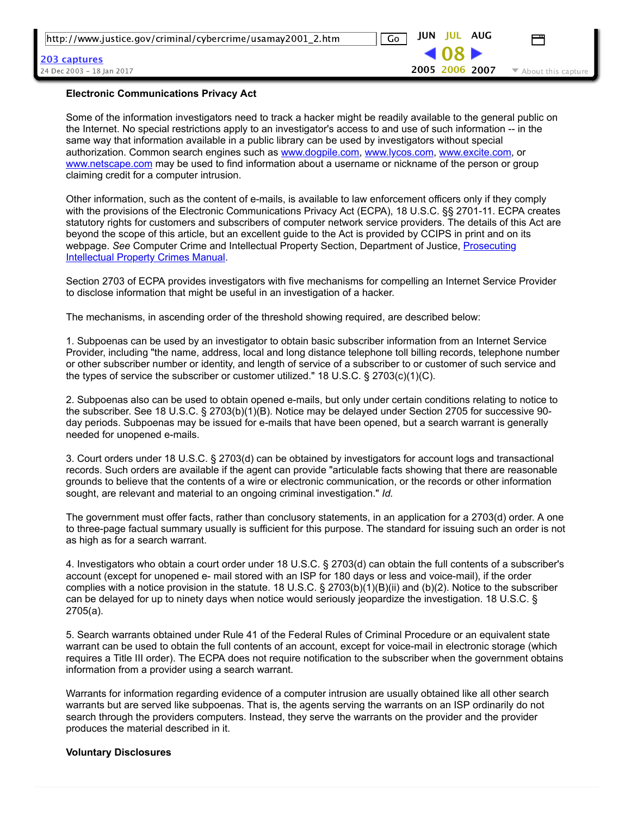| Flashnants Association (Belisan Ast                         |                   |                                          |
|-------------------------------------------------------------|-------------------|------------------------------------------|
| 24 Dec 2003 – 18 Ian 2017                                   | 2005 2006 2007    | $\blacktriangleright$ About this capture |
| <u> 203 captures</u>                                        | $-08$             |                                          |
| http://www.justice.gov/criminal/cybercrime/usamay2001_2.htm | JUN JUL AUG<br>Go |                                          |

#### **Electronic Communications Privacy Act**

Some of the information investigators need to track a hacker might be readily available to the general public on the Internet. No special restrictions apply to an investigator's access to and use of such information -- in the same way that information available in a public library can be used by investigators without special authorization. Common search engines such as [www.dogpile.com,](https://web.archive.org/web/20060708160904/http://www.cybercrime.gov/cgi-bin/outside.cgi?http://www.dogpile.com) [www.lycos.com,](https://web.archive.org/web/20060708160904/http://www.cybercrime.gov/cgi-bin/outside.cgi?http://www.lycos.com/) [www.excite.com](https://web.archive.org/web/20060708160904/http://www.cybercrime.gov/cgi-bin/outside.cgi?http://www.excite.com), or [www.netscape.com](https://web.archive.org/web/20060708160904/http://www.cybercrime.gov/cgi-bin/outside.cgi?http://www.netscape.com) may be used to find information about a username or nickname of the person or group claiming credit for a computer intrusion.

Other information, such as the content of emails, is available to law enforcement officers only if they comply with the provisions of the Electronic Communications Privacy Act (ECPA), 18 U.S.C. §§ 2701-11. ECPA creates statutory rights for customers and subscribers of computer network service providers. The details of this Act are beyond the scope of this article, but an excellent guide to the Act is provided by CCIPS in print and on its webpage. See [Computer Crime and Intellectual Property Section, Department of Justice, Prosecuting](https://web.archive.org/web/20060708160904/http://www.cybercrime.gov/) **Intellectual Property Crimes Manual.** 

Section 2703 of ECPA provides investigators with five mechanisms for compelling an Internet Service Provider to disclose information that might be useful in an investigation of a hacker.

The mechanisms, in ascending order of the threshold showing required, are described below:

1. Subpoenas can be used by an investigator to obtain basic subscriber information from an Internet Service Provider, including "the name, address, local and long distance telephone toll billing records, telephone number or other subscriber number or identity, and length of service of a subscriber to or customer of such service and the types of service the subscriber or customer utilized." 18 U.S.C. § 2703(c)(1)(C).

2. Subpoenas also can be used to obtain opened e-mails, but only under certain conditions relating to notice to the subscriber. See 18 U.S.C. § 2703(b)(1)(B). Notice may be delayed under Section 2705 for successive 90 day periods. Subpoenas may be issued for e-mails that have been opened, but a search warrant is generally needed for unopened e-mails.

3. Court orders under 18 U.S.C. § 2703(d) can be obtained by investigators for account logs and transactional records. Such orders are available if the agent can provide "articulable facts showing that there are reasonable grounds to believe that the contents of a wire or electronic communication, or the records or other information sought, are relevant and material to an ongoing criminal investigation." *Id.*

The government must offer facts, rather than conclusory statements, in an application for a 2703(d) order. A one to three-page factual summary usually is sufficient for this purpose. The standard for issuing such an order is not as high as for a search warrant.

4. Investigators who obtain a court order under 18 U.S.C. § 2703(d) can obtain the full contents of a subscriber's account (except for unopened e- mail stored with an ISP for 180 days or less and voice-mail), if the order complies with a notice provision in the statute. 18 U.S.C. § 2703(b)(1)(B)(ii) and (b)(2). Notice to the subscriber can be delayed for up to ninety days when notice would seriously jeopardize the investigation. 18 U.S.C. § 2705(a).

5. Search warrants obtained under Rule 41 of the Federal Rules of Criminal Procedure or an equivalent state warrant can be used to obtain the full contents of an account, except for voice-mail in electronic storage (which requires a Title III order). The ECPA does not require notification to the subscriber when the government obtains information from a provider using a search warrant.

Warrants for information regarding evidence of a computer intrusion are usually obtained like all other search warrants but are served like subpoenas. That is, the agents serving the warrants on an ISP ordinarily do not search through the providers computers. Instead, they serve the warrants on the provider and the provider produces the material described in it.

#### **Voluntary Disclosures**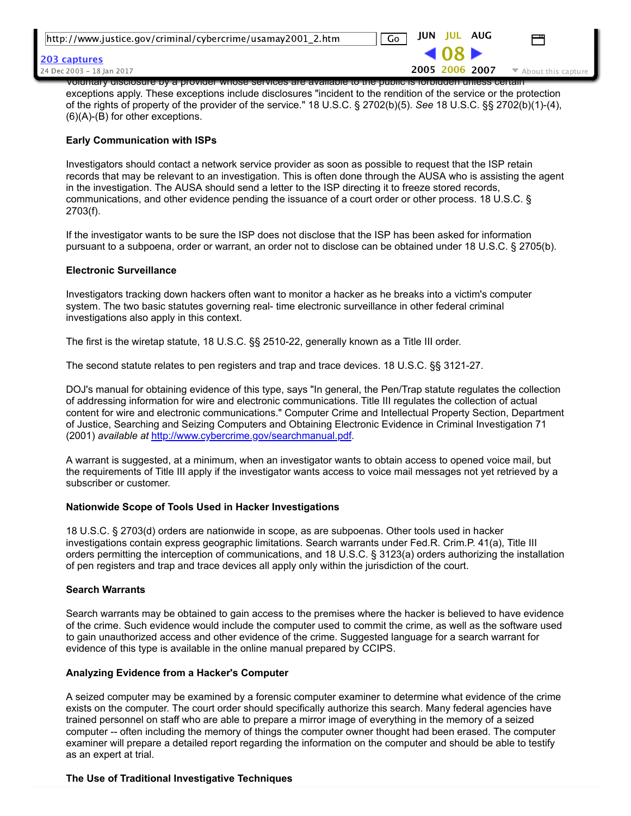| http://www.justice.gov/criminal/cybercrime/usamay2001_2.htm                                               | JUN JUL AUG<br>$\sqrt{G}$           |                                          |  |  |
|-----------------------------------------------------------------------------------------------------------|-------------------------------------|------------------------------------------|--|--|
| <b>203 captures</b>                                                                                       | $\triangleleft$ 08 $\triangleright$ |                                          |  |  |
| 24 Dec 2003 - 18 Ian 2017                                                                                 | 2005 2006 2007                      | $\blacktriangleright$ About this capture |  |  |
| voluntary disclosure by a provider whose services are available to the public is forbidden unless certain |                                     |                                          |  |  |

exceptions apply. These exceptions include disclosures "incident to the rendition of the service or the protection of the rights of property of the provider of the service." 18 U.S.C. § 2702(b)(5). *See* 18 U.S.C. §§ 2702(b)(1)(4),  $(6)(A)-(B)$  for other exceptions.

### **Early Communication with ISPs**

Investigators should contact a network service provider as soon as possible to request that the ISP retain records that may be relevant to an investigation. This is often done through the AUSA who is assisting the agent in the investigation. The AUSA should send a letter to the ISP directing it to freeze stored records, communications, and other evidence pending the issuance of a court order or other process. 18 U.S.C. § 2703(f).

If the investigator wants to be sure the ISP does not disclose that the ISP has been asked for information pursuant to a subpoena, order or warrant, an order not to disclose can be obtained under 18 U.S.C. § 2705(b).

## **Electronic Surveillance**

Investigators tracking down hackers often want to monitor a hacker as he breaks into a victim's computer system. The two basic statutes governing real- time electronic surveillance in other federal criminal investigations also apply in this context.

The first is the wiretap statute, 18 U.S.C. §§ 2510-22, generally known as a Title III order.

The second statute relates to pen registers and trap and trace devices. 18 U.S.C. §§ 312127.

DOJ's manual for obtaining evidence of this type, says "In general, the Pen/Trap statute regulates the collection of addressing information for wire and electronic communications. Title III regulates the collection of actual content for wire and electronic communications." Computer Crime and Intellectual Property Section, Department of Justice, Searching and Seizing Computers and Obtaining Electronic Evidence in Criminal Investigation 71 (2001) *available at* [http://www.cybercrime.gov/searchmanual.pdf](https://web.archive.org/web/20060708160904/http://www.cybercrime.gov/searchmanual.pdf).

A warrant is suggested, at a minimum, when an investigator wants to obtain access to opened voice mail, but the requirements of Title III apply if the investigator wants access to voice mail messages not yet retrieved by a subscriber or customer.

# **Nationwide Scope of Tools Used in Hacker Investigations**

18 U.S.C. § 2703(d) orders are nationwide in scope, as are subpoenas. Other tools used in hacker investigations contain express geographic limitations. Search warrants under Fed.R. Crim.P. 41(a), Title III orders permitting the interception of communications, and 18 U.S.C. § 3123(a) orders authorizing the installation of pen registers and trap and trace devices all apply only within the jurisdiction of the court.

### **Search Warrants**

Search warrants may be obtained to gain access to the premises where the hacker is believed to have evidence of the crime. Such evidence would include the computer used to commit the crime, as well as the software used to gain unauthorized access and other evidence of the crime. Suggested language for a search warrant for evidence of this type is available in the online manual prepared by CCIPS.

### **Analyzing Evidence from a Hacker's Computer**

A seized computer may be examined by a forensic computer examiner to determine what evidence of the crime exists on the computer. The court order should specifically authorize this search. Many federal agencies have trained personnel on staff who are able to prepare a mirror image of everything in the memory of a seized computer -- often including the memory of things the computer owner thought had been erased. The computer examiner will prepare a detailed report regarding the information on the computer and should be able to testify as an expert at trial.

### **The Use of Traditional Investigative Techniques**